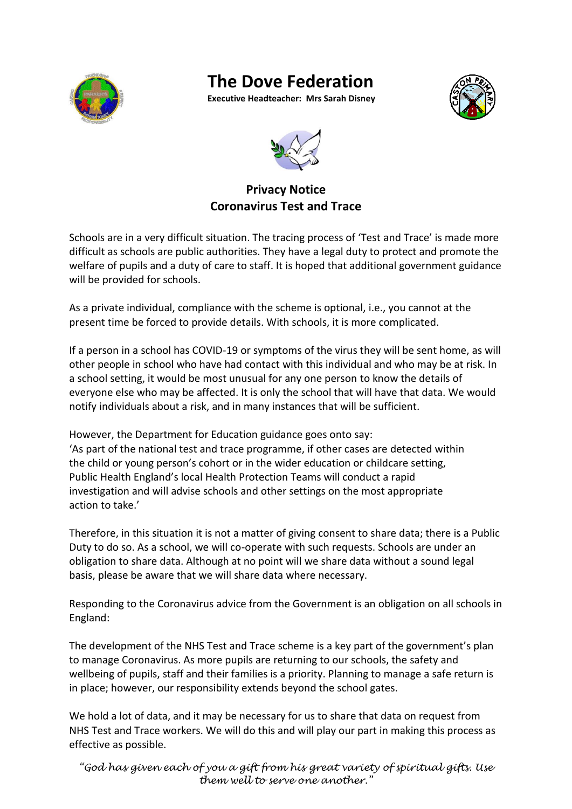

## **The Dove Federation**

**Executive Headteacher: Mrs Sarah Disney**





## **Privacy Notice Coronavirus Test and Trace**

Schools are in a very difficult situation. The tracing process of 'Test and Trace' is made more difficult as schools are public authorities. They have a legal duty to protect and promote the welfare of pupils and a duty of care to staff. It is hoped that additional government guidance will be provided for schools.

As a private individual, compliance with the scheme is optional, i.e., you cannot at the present time be forced to provide details. With schools, it is more complicated.

If a person in a school has COVID-19 or symptoms of the virus they will be sent home, as will other people in school who have had contact with this individual and who may be at risk. In a school setting, it would be most unusual for any one person to know the details of everyone else who may be affected. It is only the school that will have that data. We would notify individuals about a risk, and in many instances that will be sufficient.

However, the Department for Education guidance goes onto say: 'As part of the national test and trace programme, if other cases are detected within the child or young person's cohort or in the wider education or childcare setting, Public Health England's local Health Protection Teams will conduct a rapid investigation and will advise schools and other settings on the most appropriate action to take.'

Therefore, in this situation it is not a matter of giving consent to share data; there is a Public Duty to do so. As a school, we will co-operate with such requests. Schools are under an obligation to share data. Although at no point will we share data without a sound legal basis, please be aware that we will share data where necessary.

Responding to the Coronavirus advice from the Government is an obligation on all schools in England:

The development of the NHS Test and Trace scheme is a key part of the government's plan to manage Coronavirus. As more pupils are returning to our schools, the safety and wellbeing of pupils, staff and their families is a priority. Planning to manage a safe return is in place; however, our responsibility extends beyond the school gates.

We hold a lot of data, and it may be necessary for us to share that data on request from NHS Test and Trace workers. We will do this and will play our part in making this process as effective as possible.

*"God has given each of you a gift from his great variety of spiritual gifts. Use them well to serve one another."*